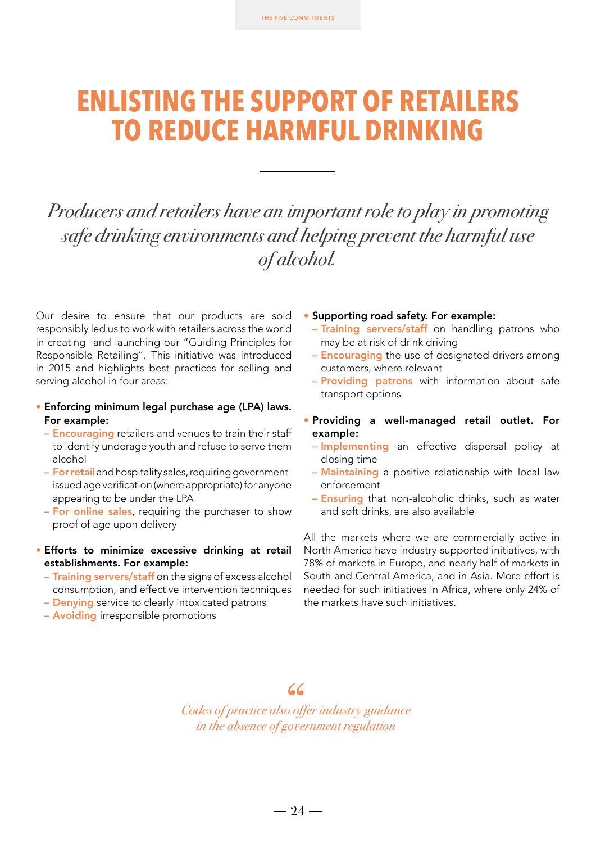# **ENLISTING THE SUPPORT OF RETAILERS TO REDUCE HARMFUL DRINKING**

## *Producers and retailers have an important role to play in promoting safe drinking environments and helping prevent the harmful use of alcohol.*

Our desire to ensure that our products are sold responsibly led us to work with retailers across the world in creating and launching our "Guiding Principles for Responsible Retailing". This initiative was introduced in 2015 and highlights best practices for selling and serving alcohol in four areas:

- Enforcing minimum legal purchase age (LPA) laws. For example:
	- Encouraging retailers and venues to train their staff to identify underage youth and refuse to serve them alcohol
	- For retail and hospitality sales, requiring governmentissued age verification (where appropriate) for anyone appearing to be under the LPA
	- For online sales, requiring the purchaser to show proof of age upon delivery
- Efforts to minimize excessive drinking at retail establishments. For example:
	- Training servers/staff on the signs of excess alcohol consumption, and effective intervention techniques
	- **Denying** service to clearly intoxicated patrons
	- Avoiding irresponsible promotions
- Supporting road safety. For example:
	- Training servers/staff on handling patrons who may be at risk of drink driving
	- Encouraging the use of designated drivers among customers, where relevant
	- Providing patrons with information about safe transport options
- Providing a well-managed retail outlet. For example:
	- Implementing an effective dispersal policy at closing time
	- Maintaining a positive relationship with local law enforcement
	- Ensuring that non-alcoholic drinks, such as water and soft drinks, are also available

All the markets where we are commercially active in North America have industry-supported initiatives, with 78% of markets in Europe, and nearly half of markets in South and Central America, and in Asia. More effort is needed for such initiatives in Africa, where only 24% of the markets have such initiatives.

### 66

*Codes of practice also offer industry guidance in the absence of government regulation*

 $-24-$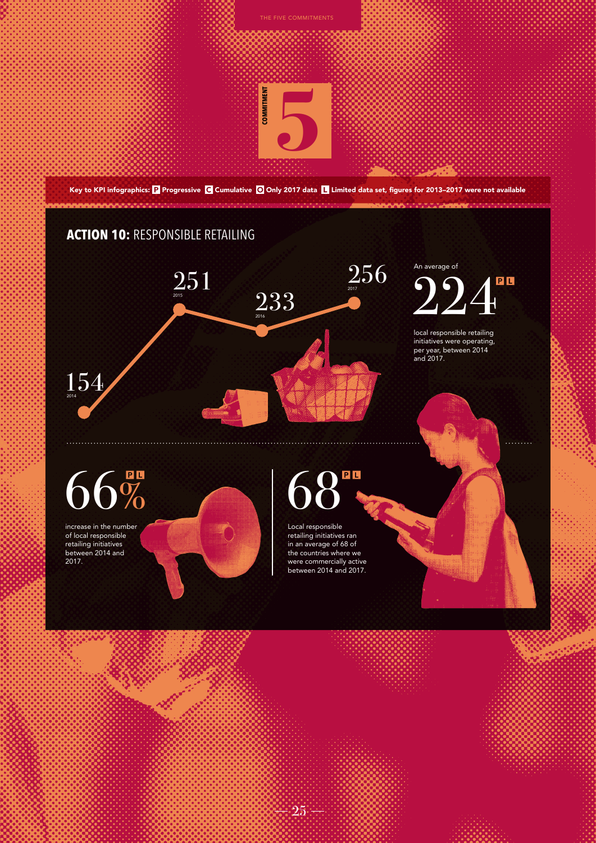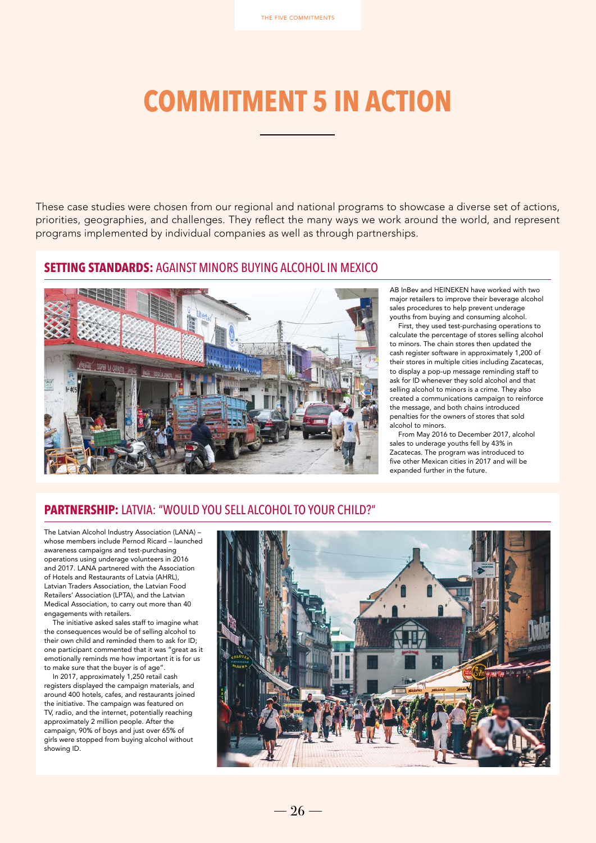# **COMMITMENT 5 IN ACTION**

These case studies were chosen from our regional and national programs to showcase a diverse set of actions, priorities, geographies, and challenges. They reflect the many ways we work around the world, and represent programs implemented by individual companies as well as through partnerships.

#### **SETTING STANDARDS:** AGAINST MINORS BUYING ALCOHOL IN MEXICO



AB InBev and HEINEKEN have worked with two major retailers to improve their beverage alcohol sales procedures to help prevent underage youths from buying and consuming alcohol.

First, they used test-purchasing operations to calculate the percentage of stores selling alcohol to minors. The chain stores then updated the cash register software in approximately 1,200 of their stores in multiple cities including Zacatecas, to display a pop-up message reminding staff to ask for ID whenever they sold alcohol and that selling alcohol to minors is a crime. They also created a communications campaign to reinforce the message, and both chains introduced penalties for the owners of stores that sold alcohol to minors.

From May 2016 to December 2017, alcohol sales to underage youths fell by 43% in Zacatecas. The program was introduced to five other Mexican cities in 2017 and will be expanded further in the future.

#### **PARTNERSHIP:** LATVIA: "WOULD YOU SELL ALCOHOL TO YOUR CHILD?"

The Latvian Alcohol Industry Association (LANA) – whose members include Pernod Ricard – launched awareness campaigns and test-purchasing operations using underage volunteers in 2016 and 2017. LANA partnered with the Association of Hotels and Restaurants of Latvia (AHRL), Latvian Traders Association, the Latvian Food Retailers' Association (LPTA), and the Latvian Medical Association, to carry out more than 40 engagements with retailers.

The initiative asked sales staff to imagine what the consequences would be of selling alcohol to their own child and reminded them to ask for ID; one participant commented that it was "great as it emotionally reminds me how important it is for us to make sure that the buyer is of age".

In 2017, approximately 1,250 retail cash registers displayed the campaign materials, and around 400 hotels, cafes, and restaurants joined the initiative. The campaign was featured on TV, radio, and the internet, potentially reaching approximately 2 million people. After the campaign, 90% of boys and just over 65% of girls were stopped from buying alcohol without showing ID.